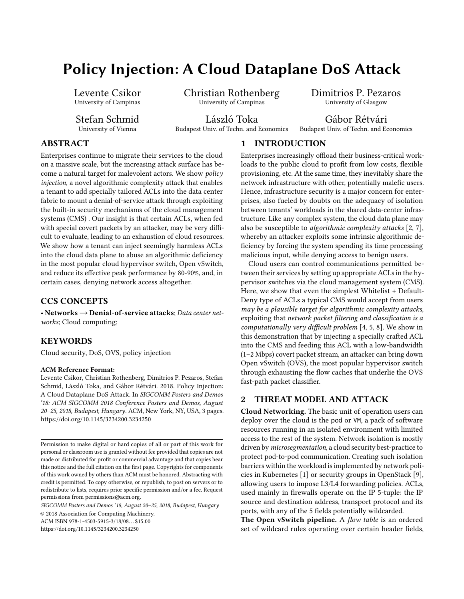# Policy Injection: A Cloud Dataplane DoS Attack

Levente Csikor University of Campinas

Stefan Schmid University of Vienna

Christian Rothenberg University of Campinas

László Toka Budapest Univ. of Techn. and Economics Dimitrios P. Pezaros University of Glasgow

Gábor Rétvári

Budapest Univ. of Techn. and Economics

# ABSTRACT

Enterprises continue to migrate their services to the cloud on a massive scale, but the increasing attack surface has become a natural target for malevolent actors. We show policy injection, a novel algorithmic complexity attack that enables a tenant to add specially tailored ACLs into the data center fabric to mount a denial-of-service attack through exploiting the built-in security mechanisms of the cloud management systems (CMS) . Our insight is that certain ACLs, when fed with special covert packets by an attacker, may be very difficult to evaluate, leading to an exhaustion of cloud resources. We show how a tenant can inject seemingly harmless ACLs into the cloud data plane to abuse an algorithmic deficiency in the most popular cloud hypervisor switch, Open vSwitch, and reduce its effective peak performance by 80-90%, and, in certain cases, denying network access altogether.

# CCS CONCEPTS

• Networks → Denial-of-service attacks; Data center networks; Cloud computing;

## KEYWORDS

Cloud security, DoS, OVS, policy injection

#### ACM Reference Format:

Levente Csikor, Christian Rothenberg, Dimitrios P. Pezaros, Stefan Schmid, László Toka, and Gábor Rétvári. 2018. Policy Injection: A Cloud Dataplane DoS Attack. In SIGCOMM Posters and Demos '18: ACM SIGCOMM 2018 Conference Posters and Demos, August 20–25, 2018, Budapest, Hungary. ACM, New York, NY, USA, [3](#page-2-0) pages. <https://doi.org/10.1145/3234200.3234250>

SIGCOMM Posters and Demos '18, August 20–25, 2018, Budapest, Hungary © 2018 Association for Computing Machinery.

ACM ISBN 978-1-4503-5915-3/18/08. . . \$15.00

<https://doi.org/10.1145/3234200.3234250>

# 1 INTRODUCTION

Enterprises increasingly offload their business-critical workloads to the public cloud to profit from low costs, flexible provisioning, etc. At the same time, they inevitably share the network infrastructure with other, potentially malefic users. Hence, infrastructure security is a major concern for enterprises, also fueled by doubts on the adequacy of isolation between tenants' workloads in the shared data-center infrastructure. Like any complex system, the cloud data plane may also be susceptible to algorithmic complexity attacks [\[2,](#page-2-1) [7\]](#page-2-2), whereby an attacker exploits some intrinsic algorithmic deficiency by forcing the system spending its time processing malicious input, while denying access to benign users.

Cloud users can control communications permitted between their services by setting up appropriate ACLs in the hypervisor switches via the cloud management system (CMS). Here, we show that even the simplest Whitelist + Default-Deny type of ACLs a typical CMS would accept from users may be a plausible target for algorithmic complexity attacks, exploiting that network packet filtering and classification is a computationally very difficult problem [\[4,](#page-2-3) [5,](#page-2-4) [8\]](#page-2-5). We show in this demonstration that by injecting a specially crafted ACL into the CMS and feeding this ACL with a low-bandwidth (1–2 Mbps) covert packet stream, an attacker can bring down Open vSwitch (OVS), the most popular hypervisor switch through exhausting the flow caches that underlie the OVS fast-path packet classifier.

## 2 THREAT MODEL AND ATTACK

Cloud Networking. The basic unit of operation users can deploy over the cloud is the pod or VM, a pack of software resources running in an isolated environment with limited access to the rest of the system. Network isolation is mostly driven by microsegmentation, a cloud security best-practice to protect pod-to-pod communication. Creating such isolation barriers within the workload is implemented by network policies in Kubernetes [\[1\]](#page-2-6) or security groups in OpenStack [\[9\]](#page-2-7), allowing users to impose L3/L4 forwarding policies. ACLs, used mainly in firewalls operate on the IP 5-tuple: the IP source and destination address, transport protocol and its ports, with any of the 5 fields potentially wildcarded.

The Open vSwitch pipeline. A flow table is an ordered set of wildcard rules operating over certain header fields,

Permission to make digital or hard copies of all or part of this work for personal or classroom use is granted without fee provided that copies are not made or distributed for profit or commercial advantage and that copies bear this notice and the full citation on the first page. Copyrights for components of this work owned by others than ACM must be honored. Abstracting with credit is permitted. To copy otherwise, or republish, to post on servers or to redistribute to lists, requires prior specific permission and/or a fee. Request permissions from permissions@acm.org.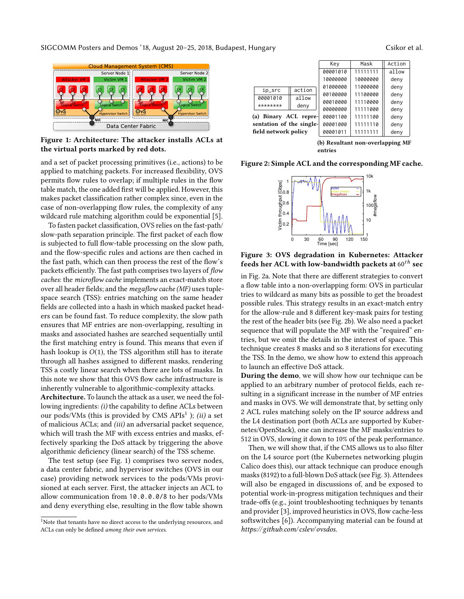<span id="page-1-1"></span>SIGCOMM Posters and Demos '18, August 20–25, 2018, Budapest, Hungary Contract Cass Contract Contract al.

---------------<br>Server Node 2  $ip\_src$  action

> <span id="page-1-2"></span>00001010 \*\*\*\*\*\*\* (a) Binary

Server Node 1 ÑĒ Data Center Fabric

Figure 1: Architecture: The attacker installs ACLs at the virtual ports marked by red dots.

and a set of packet processing primitives (i.e., actions) to be applied to matching packets. For increased flexibility, OVS permits flow rules to overlap; if multiple rules in the flow table match, the one added first will be applied. However, this makes packet classification rather complex since, even in the case of non-overlapping flow rules, the complexity of any wildcard rule matching algorithm could be exponential [\[5\]](#page-2-4).

To fasten packet classification, OVS relies on the fast-path/ slow-path separation principle. The first packet of each flow is subjected to full flow-table processing on the slow path, and the flow-specific rules and actions are then cached in the fast path, which can then process the rest of the flow's packets efficiently. The fast path comprises two layers of flow caches: the microflow cache implements an exact-match store over all header fields; and the megaflow cache (MF) uses tuplespace search (TSS): entries matching on the same header fields are collected into a hash in which masked packet headers can be found fast. To reduce complexity, the slow path ensures that MF entries are non-overlapping, resulting in masks and associated hashes are searched sequentially until the first matching entry is found. This means that even if hash lookup is  $O(1)$ , the TSS algorithm still has to iterate through all hashes assigned to different masks, rendering TSS a costly linear search when there are lots of masks. In this note we show that this OVS flow cache infrastructure is inherently vulnerable to algorithmic-complexity attacks.

Architecture. To launch the attack as a user, we need the following ingredients: (i) the capability to define ACLs between our pods/VMs (this is provided by CMS APIs<sup>[1](#page-1-0)</sup>); (ii) a set of malicious ACLs; and (iii) an adversarial packet sequence, which will trash the MF with excess entries and masks, effectively sparking the DoS attack by triggering the above algorithmic deficiency (linear search) of the TSS scheme.

The test setup (see Fig. [1\)](#page-1-1) comprises two server nodes, a data center fabric, and hypervisor switches (OVS in our case) providing network services to the pods/VMs provisioned at each server. First, the attacker injects an ACL to allow communication from 10.0.0.0/8 to her pods/VMs and deny everything else, resulting in the flow table shown

|                          | 00001010 | allow |          |          | ---- |  |
|--------------------------|----------|-------|----------|----------|------|--|
|                          |          |       | 00010000 | 11110000 | deny |  |
|                          | ******** | deny  | 00000000 | 11111000 | deny |  |
| (a) Binary ACL repre-    |          |       | 00001100 | 11111100 | deny |  |
| sentation of the single- |          |       | 00001000 | 11111110 | deny |  |
| field network policy     |          |       | 00001011 | 11111111 | deny |  |
|                          |          |       |          |          |      |  |

(b) Resultant non-overlapping MF entries

Key Mask Action 00001010 111111111 allow 10000000 10000000 deny<br>01000000 11000000 deny

<span id="page-1-3"></span> $0.00100000$  11100000 deny

11000000 deny

<span id="page-1-4"></span>Figure 2: Simple ACL and the corresponding MF cache.



Figure 3: OVS degradation in Kubernetes: Attacker feeds her ACL with low-bandwidth packets at  $60^{th}$  sec

in Fig. [2a.](#page-1-2) Note that there are different strategies to convert a flow table into a non-overlapping form: OVS in particular tries to wildcard as many bits as possible to get the broadest possible rules. This strategy results in an exact-match entry for the allow-rule and 8 different key-mask pairs for testing the rest of the header bits (see Fig. [2b\)](#page-1-3). We also need a packet sequence that will populate the MF with the "required" entries, but we omit the details in the interest of space. This technique creates 8 masks and so 8 iterations for executing the TSS. In the demo, we show how to extend this approach to launch an effective DoS attack.

During the demo, we will show how our technique can be applied to an arbitrary number of protocol fields, each resulting in a significant increase in the number of MF entries and masks in OVS. We will demonstrate that, by setting only 2 ACL rules matching solely on the IP source address and the L4 destination port (both ACLs are supported by Kubernetes/OpenStack), one can increase the MF masks/entries to 512 in OVS, slowing it down to 10% of the peak performance.

Then, we will show that, if the CMS allows us to also filter on the L4 source port (the Kubernetes networking plugin Calico does this), our attack technique can produce enough masks (8192) to a full-blown DoS attack (see Fig. [3\)](#page-1-4). Attendees will also be engaged in discussions of, and be exposed to potential work-in-progress mitigation techniques and their trade-offs (e.g., joint troubleshooting techniques by tenants and provider [\[3\]](#page-2-8), improved heuristics in OVS, flow cache-less softswitches [\[6\]](#page-2-9)). Accompanying material can be found at [https://github.com/ cslev/ovsdos](https://github.com/cslev/ovsdos).

<span id="page-1-0"></span><sup>&</sup>lt;sup>1</sup>Note that tenants have no direct access to the underlying resources, and ACLs can only be defined among their own services.